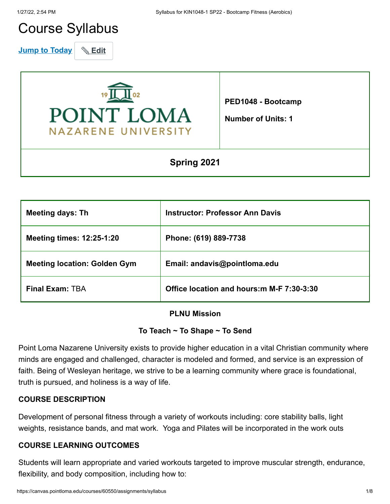# Course Syllabus

**Jump to Today** & Edit



**PED1048 - Bootcamp**

**Number of Units: 1**

# **Spring 2021**

| <b>Meeting days: Th</b>             | <b>Instructor: Professor Ann Davis</b>     |
|-------------------------------------|--------------------------------------------|
| <b>Meeting times: 12:25-1:20</b>    | Phone: (619) 889-7738                      |
| <b>Meeting location: Golden Gym</b> | Email: andavis@pointloma.edu               |
| <b>Final Exam: TBA</b>              | Office location and hours: m M-F 7:30-3:30 |

#### **PLNU Mission**

#### **To Teach ~ To Shape ~ To Send**

Point Loma Nazarene University exists to provide higher education in a vital Christian community where minds are engaged and challenged, character is modeled and formed, and service is an expression of faith. Being of Wesleyan heritage, we strive to be a learning community where grace is foundational, truth is pursued, and holiness is a way of life.

# **COURSE DESCRIPTION**

Development of personal fitness through a variety of workouts including: core stability balls, light weights, resistance bands, and mat work. Yoga and Pilates will be incorporated in the work outs

#### **COURSE LEARNING OUTCOMES**

Students will learn appropriate and varied workouts targeted to improve muscular strength, endurance, flexibility, and body composition, including how to: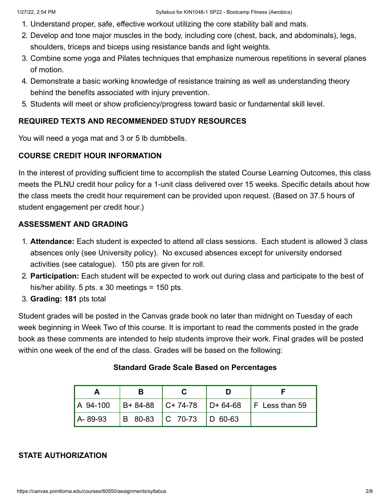- 1. Understand proper, safe, effective workout utilizing the core stability ball and mats.
- 2. Develop and tone major muscles in the body, including core (chest, back, and abdominals), legs, shoulders, triceps and biceps using resistance bands and light weights.
- 3. Combine some yoga and Pilates techniques that emphasize numerous repetitions in several planes of motion.
- 4. Demonstrate a basic working knowledge of resistance training as well as understanding theory behind the benefits associated with injury prevention.
- 5. Students will meet or show proficiency/progress toward basic or fundamental skill level.

# **REQUIRED TEXTS AND RECOMMENDED STUDY RESOURCES**

You will need a yoga mat and 3 or 5 lb dumbbells.

# **COURSE CREDIT HOUR INFORMATION**

In the interest of providing sufficient time to accomplish the stated Course Learning Outcomes, this class meets the PLNU credit hour policy for a 1-unit class delivered over 15 weeks. Specific details about how the class meets the credit hour requirement can be provided upon request. (Based on 37.5 hours of student engagement per credit hour.)

# **ASSESSMENT AND GRADING**

- 1. **Attendance:** Each student is expected to attend all class sessions. Each student is allowed 3 class absences only (see University policy). No excused absences except for university endorsed activities (see catalogue). 150 pts are given for roll.
- 2. **Participation:** Each student will be expected to work out during class and participate to the best of his/her ability. 5 pts.  $x$  30 meetings = 150 pts.
- 3. **Grading: 181** pts total

Student grades will be posted in the Canvas grade book no later than midnight on Tuesday of each week beginning in Week Two of this course. It is important to read the comments posted in the grade book as these comments are intended to help students improve their work. Final grades will be posted within one week of the end of the class. Grades will be based on the following:

|               |                             | $\vert$ A 94-100 $\vert$ B+ 84-88 $\vert$ C+ 74-78 $\vert$ D+ 64-68 $\vert$ F Less than 59 |
|---------------|-----------------------------|--------------------------------------------------------------------------------------------|
| $A - 89 - 93$ | B 80-83   C 70-73   D 60-63 |                                                                                            |

#### **Standard Grade Scale Based on Percentages**

#### **STATE AUTHORIZATION**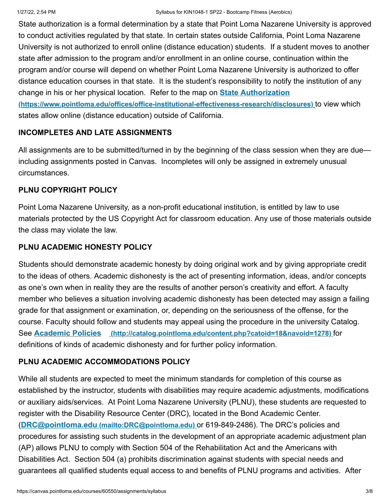State authorization is a formal determination by a state that Point Loma Nazarene University is approved to conduct activities regulated by that state. In certain states outside California, Point Loma Nazarene University is not authorized to enroll online (distance education) students. If a student moves to another state after admission to the program and/or enrollment in an online course, continuation within the program and/or course will depend on whether Point Loma Nazarene University is authorized to offer distance education courses in that state. It is the student's responsibility to notify the institution of any change in his or her physical location. Refer to the map on **State Authorization [\(https://www.pointloma.edu/offices/office-institutional-effectiveness-research/disclosures\)](https://www.pointloma.edu/offices/office-institutional-effectiveness-research/disclosures)** to view which

# **INCOMPLETES AND LATE ASSIGNMENTS**

states allow online (distance education) outside of California.

All assignments are to be submitted/turned in by the beginning of the class session when they are due including assignments posted in Canvas. Incompletes will only be assigned in extremely unusual circumstances.

# **PLNU COPYRIGHT POLICY**

Point Loma Nazarene University, as a non-profit educational institution, is entitled by law to use materials protected by the US Copyright Act for classroom education. Any use of those materials outside the class may violate the law.

#### **PLNU ACADEMIC HONESTY POLICY**

Students should demonstrate academic honesty by doing original work and by giving appropriate credit to the ideas of others. Academic dishonesty is the act of presenting information, ideas, and/or concepts as one's own when in reality they are the results of another person's creativity and effort. A faculty member who believes a situation involving academic dishonesty has been detected may assign a failing grade for that assignment or examination, or, depending on the seriousness of the offense, for the course. Faculty should follow and students may appeal using the procedure in the university Catalog. See **Academic Policies [\(http://catalog.pointloma.edu/content.php?catoid=18&navoid=1278\)](http://catalog.pointloma.edu/content.php?catoid=18&navoid=1278)** for definitions of kinds of academic dishonesty and for further policy information.

#### **PLNU ACADEMIC ACCOMMODATIONS POLICY**

While all students are expected to meet the minimum standards for completion of this course as established by the instructor, students with disabilities may require academic adjustments, modifications or auxiliary aids/services. At Point Loma Nazarene University (PLNU), these students are requested to register with the Disability Resource Center (DRC), located in the Bond Academic Center. (**DRC@pointloma.edu [\(mailto:DRC@pointloma.edu\)](mailto:DRC@pointloma.edu)** or 619-849-2486). The DRC's policies and procedures for assisting such students in the development of an appropriate academic adjustment plan (AP) allows PLNU to comply with Section 504 of the Rehabilitation Act and the Americans with Disabilities Act. Section 504 (a) prohibits discrimination against students with special needs and guarantees all qualified students equal access to and benefits of PLNU programs and activities. After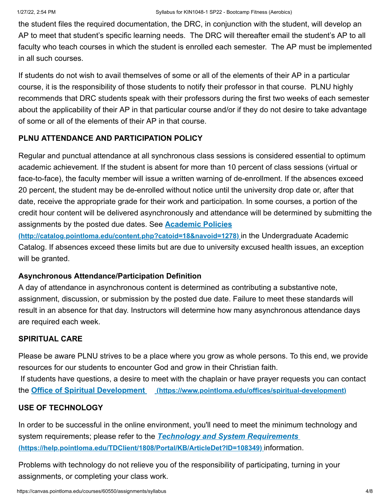the student files the required documentation, the DRC, in conjunction with the student, will develop an AP to meet that student's specific learning needs. The DRC will thereafter email the student's AP to all faculty who teach courses in which the student is enrolled each semester. The AP must be implemented in all such courses.

If students do not wish to avail themselves of some or all of the elements of their AP in a particular course, it is the responsibility of those students to notify their professor in that course. PLNU highly recommends that DRC students speak with their professors during the first two weeks of each semester about the applicability of their AP in that particular course and/or if they do not desire to take advantage of some or all of the elements of their AP in that course.

# **PLNU ATTENDANCE AND PARTICIPATION POLICY**

Regular and punctual attendance at all synchronous class sessions is considered essential to optimum academic achievement. If the student is absent for more than 10 percent of class sessions (virtual or face-to-face), the faculty member will issue a written warning of de-enrollment. If the absences exceed 20 percent, the student may be de-enrolled without notice until the university drop date or, after that date, receive the appropriate grade for their work and participation. In some courses, a portion of the credit hour content will be delivered asynchronously and attendance will be determined by submitting the assignments by the posted due dates. See **Academic Policies**

**[\(http://catalog.pointloma.edu/content.php?catoid=18&navoid=1278\)](http://catalog.pointloma.edu/content.php?catoid=18&navoid=1278)** in the Undergraduate Academic Catalog. If absences exceed these limits but are due to university excused health issues, an exception will be granted.

# **Asynchronous Attendance/Participation Definition**

A day of attendance in asynchronous content is determined as contributing a substantive note, assignment, discussion, or submission by the posted due date. Failure to meet these standards will result in an absence for that day. Instructors will determine how many asynchronous attendance days are required each week.

# **SPIRITUAL CARE**

Please be aware PLNU strives to be a place where you grow as whole persons. To this end, we provide resources for our students to encounter God and grow in their Christian faith. If students have questions, a desire to meet with the chaplain or have prayer requests you can contact the **Office of Spiritual Development [\(https://www.pointloma.edu/offices/spiritual-development\)](https://www.pointloma.edu/offices/spiritual-development)**

#### **USE OF TECHNOLOGY**

In order to be successful in the online environment, you'll need to meet the minimum technology and system requirements; please refer to the *Technology and System Requirements*  **[\(https://help.pointloma.edu/TDClient/1808/Portal/KB/ArticleDet?ID=108349\)](https://help.pointloma.edu/TDClient/1808/Portal/KB/ArticleDet?ID=108349)** information.

Problems with technology do not relieve you of the responsibility of participating, turning in your assignments, or completing your class work.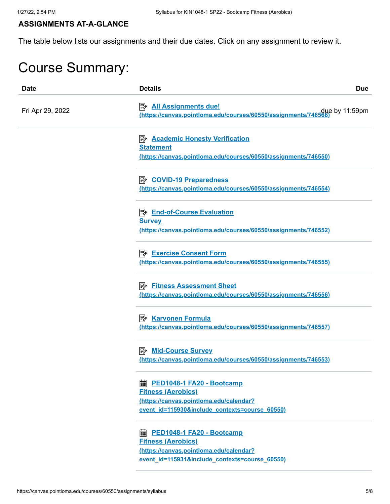#### **ASSIGNMENTS AT-A-GLANCE**

The table below lists our assignments and their due dates. Click on any assignment to review it.

# Course Summary:

| <b>Date</b>      | <b>Details</b>                                                                                                                                               | <b>Due</b> |
|------------------|--------------------------------------------------------------------------------------------------------------------------------------------------------------|------------|
| Fri Apr 29, 2022 | <b>All Assignments due!</b><br>due by 11:59pm (https://canvas.pointloma.edu/courses/60550/assignments/746566)                                                |            |
|                  | <b>E <u>Academic Honesty Verification</u></b><br><b>Statement</b><br>(https://canvas.pointloma.edu/courses/60550/assignments/746550)                         |            |
|                  | <b>B</b> COVID-19 Preparedness<br>(https://canvas.pointloma.edu/courses/60550/assignments/746554)                                                            |            |
|                  | <b>B</b> End-of-Course Evaluation<br><b>Survey</b><br>(https://canvas.pointloma.edu/courses/60550/assignments/746552)                                        |            |
|                  | <b>B</b> Exercise Consent Form<br>(https://canvas.pointloma.edu/courses/60550/assignments/746555)                                                            |            |
|                  | <b>Fitness Assessment Sheet</b><br>眇<br>(https://canvas.pointloma.edu/courses/60550/assignments/746556)                                                      |            |
|                  | <b>B</b> Karvonen Formula<br>(https://canvas.pointloma.edu/courses/60550/assignments/746557)                                                                 |            |
|                  | <b>A</b> Mid-Course Survey<br>(https://canvas.pointloma.edu/courses/60550/assignments/746553)                                                                |            |
|                  | <b>a PED1048-1 FA20 - Bootcamp</b><br><b>Fitness (Aerobics)</b><br>(https://canvas.pointloma.edu/calendar?<br>event id=115930&include contexts=course 60550) |            |
|                  | 翩<br>PED1048-1 FA20 - Bootcamp<br><b>Fitness (Aerobics)</b><br>(https://canvas.pointloma.edu/calendar?<br>event id=115931&include contexts=course 60550)     |            |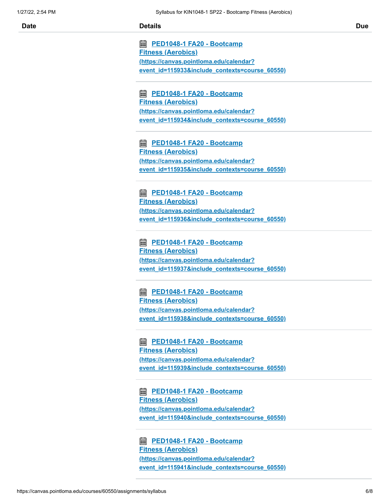**<u> 雷 PED1048-1 FA20 - Bootcamp</u> Fitness (Aerobics) (https://canvas.pointloma.edu/calendar? [event\\_id=115933&include\\_contexts=course\\_60550\)](https://canvas.pointloma.edu/calendar?event_id=115933&include_contexts=course_60550)**

**<u> 雷 PED1048-1 FA20 - Bootcamp</u> Fitness (Aerobics) (https://canvas.pointloma.edu/calendar? [event\\_id=115934&include\\_contexts=course\\_60550\)](https://canvas.pointloma.edu/calendar?event_id=115934&include_contexts=course_60550)**

**<u> 雷 PED1048-1 FA20 - Bootcamp</u> Fitness (Aerobics) (https://canvas.pointloma.edu/calendar? [event\\_id=115935&include\\_contexts=course\\_60550\)](https://canvas.pointloma.edu/calendar?event_id=115935&include_contexts=course_60550)**

**<u> 雷 PED1048-1 FA20 - Bootcamp</u> Fitness (Aerobics) (https://canvas.pointloma.edu/calendar? [event\\_id=115936&include\\_contexts=course\\_60550\)](https://canvas.pointloma.edu/calendar?event_id=115936&include_contexts=course_60550)**

**<u> 雷 PED1048-1 FA20 - Bootcamp</u> Fitness (Aerobics) (https://canvas.pointloma.edu/calendar? [event\\_id=115937&include\\_contexts=course\\_60550\)](https://canvas.pointloma.edu/calendar?event_id=115937&include_contexts=course_60550)**

**<u> 雷 PED1048-1 FA20 - Bootcamp</u> Fitness (Aerobics) (https://canvas.pointloma.edu/calendar? [event\\_id=115938&include\\_contexts=course\\_60550\)](https://canvas.pointloma.edu/calendar?event_id=115938&include_contexts=course_60550)**

**<u> 雷 PED1048-1 FA20 - Bootcamp</u> Fitness (Aerobics) (https://canvas.pointloma.edu/calendar? [event\\_id=115939&include\\_contexts=course\\_60550\)](https://canvas.pointloma.edu/calendar?event_id=115939&include_contexts=course_60550)**

**<u> 雷 PED1048-1 FA20 - Bootcamp</u> Fitness (Aerobics) (https://canvas.pointloma.edu/calendar? [event\\_id=115940&include\\_contexts=course\\_60550\)](https://canvas.pointloma.edu/calendar?event_id=115940&include_contexts=course_60550)**

**<u> 雷 PED1048-1 FA20 - Bootcamp</u> Fitness (Aerobics) (https://canvas.pointloma.edu/calendar? [event\\_id=115941&include\\_contexts=course\\_60550\)](https://canvas.pointloma.edu/calendar?event_id=115941&include_contexts=course_60550)**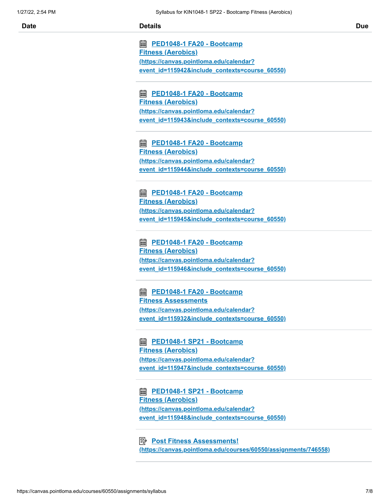**<u> 雷 PED1048-1 FA20 - Bootcamp</u> Fitness (Aerobics) (https://canvas.pointloma.edu/calendar? [event\\_id=115942&include\\_contexts=course\\_60550\)](https://canvas.pointloma.edu/calendar?event_id=115942&include_contexts=course_60550)**

**<u> 雷 PED1048-1 FA20 - Bootcamp</u> Fitness (Aerobics) (https://canvas.pointloma.edu/calendar? [event\\_id=115943&include\\_contexts=course\\_60550\)](https://canvas.pointloma.edu/calendar?event_id=115943&include_contexts=course_60550)**

**<u> 雷 PED1048-1 FA20 - Bootcamp</u> Fitness (Aerobics) (https://canvas.pointloma.edu/calendar? [event\\_id=115944&include\\_contexts=course\\_60550\)](https://canvas.pointloma.edu/calendar?event_id=115944&include_contexts=course_60550)**

**<u> 雷 PED1048-1 FA20 - Bootcamp</u> Fitness (Aerobics) (https://canvas.pointloma.edu/calendar? [event\\_id=115945&include\\_contexts=course\\_60550\)](https://canvas.pointloma.edu/calendar?event_id=115945&include_contexts=course_60550)**

**<u> 雷 PED1048-1 FA20 - Bootcamp</u> Fitness (Aerobics) (https://canvas.pointloma.edu/calendar? [event\\_id=115946&include\\_contexts=course\\_60550\)](https://canvas.pointloma.edu/calendar?event_id=115946&include_contexts=course_60550)**

**<u> 雷 PED1048-1 FA20 - Bootcamp</u> Fitness Assessments (https://canvas.pointloma.edu/calendar? [event\\_id=115932&include\\_contexts=course\\_60550\)](https://canvas.pointloma.edu/calendar?event_id=115932&include_contexts=course_60550)**

**<u> 雷 PED1048-1 SP21 - Bootcamp</u> Fitness (Aerobics) (https://canvas.pointloma.edu/calendar? [event\\_id=115947&include\\_contexts=course\\_60550\)](https://canvas.pointloma.edu/calendar?event_id=115947&include_contexts=course_60550)**

**<u> 雷 PED1048-1 SP21 - Bootcamp</u> Fitness (Aerobics) (https://canvas.pointloma.edu/calendar? [event\\_id=115948&include\\_contexts=course\\_60550\)](https://canvas.pointloma.edu/calendar?event_id=115948&include_contexts=course_60550)**

**<u> Post Fitness Assessments!</u> [\(https://canvas.pointloma.edu/courses/60550/assignments/746558\)](https://canvas.pointloma.edu/courses/60550/assignments/746558)**